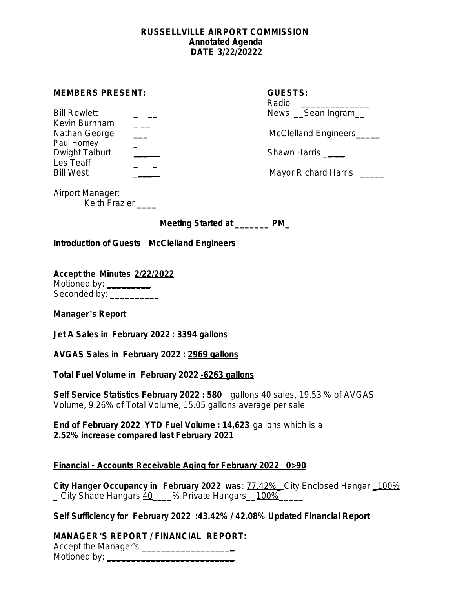#### **RUSSELLVILLE AIRPORT COMMISSION Annotated Agenda DATE 3/22/20222**

#### **MEMBERS PRESENT:**

| <b>Bill Rowlett</b> | News Sean Ingram          |
|---------------------|---------------------------|
| Kevin Burnham       |                           |
| Nathan George       | McClelland Engineers_____ |
| Paul Horney         |                           |
| Dwight Talburt      | Shawn Harris              |
| Les Teaff           |                           |
| <b>Bill West</b>    | Mayor Richard Harris      |

| <b>MEMBERS PRESENT:</b>             |  | <b>GUESTS:</b><br>Radio |
|-------------------------------------|--|-------------------------|
| <b>Bill Rowlett</b>                 |  | News Sean Ingram        |
| Kevin Burnham<br>Nathan George      |  | McClelland Engineers_   |
| Paul Horney<br>Dwight Talburt       |  | Shawn Harris            |
| Les Teaff<br>D!II111 <sub>ext</sub> |  | واستواله سوامات ويورده  |

Airport Manager: Keith Frazier \_\_\_\_

**Meeting Started at \_\_\_\_\_\_\_ PM\_**

**Introduction of Guests McClelland Engineers**

**Accept the Minutes 2/22/2022** Motioned by: \_\_\_\_\_\_\_\_\_\_ Seconded by: **\_**\_\_\_\_\_\_\_\_\_

# **Manager**'**s Report**

**Jet A Sales in February 2022 : 3394 gallons**

**AVGAS Sales in February 2022 : 2969 gallons**

**Total Fuel Volume in February 2022 -6263 gallons**

**Self Service Statistics February 2022 : 580** gallons 40 sales, 19.53 % of AVGAS Volume, 9.26% of Total Volume, 15.05 gallons average per sale

**End of February 2022 YTD Fuel Volume : 14,623** gallons which is a **2.52% increase compared last February 2021**

# **Financial - Accounts Receivable Aging for February 2022 0>90**

**City Hanger Occupancy in February 2022 was**: 77.42%\_ City Enclosed Hangar \_100% City Shade Hangars 40 % Private Hangars 100%

**Self Sufficiency for February 2022 :43.42% / 42.08% Updated Financial Report**

**MANAGER**'**S REPORT / FINANCIAL REPORT:**

Accept the Manager's \_\_\_\_\_\_\_\_\_\_\_\_\_\_\_\_\_\_\_ Motioned by: